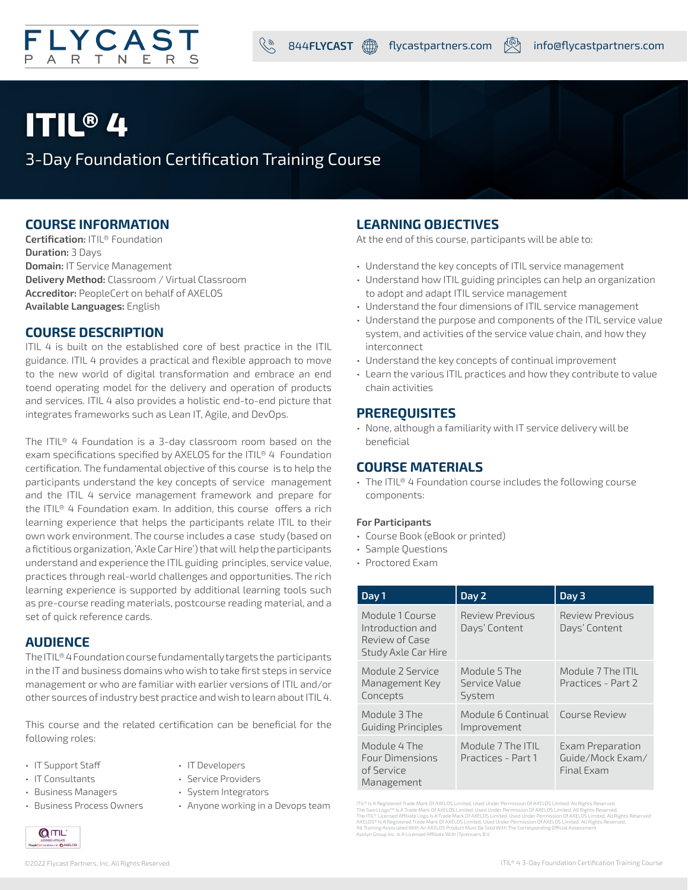

## **ITIL® 4**

3-Day Foundation Certification Training Course

## **COURSE INFORMATION**

**Certification:** ITIL® Foundation **Duration:** 3 Days **Domain:** IT Service Management **Delivery Method:** Classroom / Virtual Classroom **Accreditor:** PeopleCert on behalf of AXELOS **Available Languages:** English

## **COURSE DESCRIPTION**

ITIL 4 is built on the established core of best practice in the ITIL guidance. ITIL 4 provides a practical and flexible approach to move to the new world of digital transformation and embrace an end toend operating model for the delivery and operation of products and services. ITIL 4 also provides a holistic end-to-end picture that integrates frameworks such as Lean IT, Agile, and DevOps.

The ITIL® 4 Foundation is a 3-day classroom room based on the exam specifications specified by AXELOS for the ITIL® 4 Foundation certification. The fundamental objective of this course is to help the participants understand the key concepts of service management and the ITIL 4 service management framework and prepare for the ITIL® 4 Foundation exam. In addition, this course offers a rich learning experience that helps the participants relate ITIL to their own work environment. The course includes a case study (based on a fictitious organization, 'Axle Car Hire') that will help the participants understand and experience the ITIL guiding principles, service value, practices through real-world challenges and opportunities. The rich learning experience is supported by additional learning tools such as pre-course reading materials, postcourse reading material, and a set of quick reference cards.

## **AUDIENCE**

The ITIL® 4 Foundation course fundamentally targets the participants in the IT and business domains who wish to take first steps in service management or who are familiar with earlier versions of ITIL and/or other sources of industry best practice and wish to learn about ITIL 4.

This course and the related certification can be beneficial for the following roles:

- IT Support Staff
- IT Consultants
- IT Developers
- Service Providers • System Integrators
- Business Managers • Business Process Owners
- Anyone working in a Devops team
- **OITIL DULFIELATE**<br>DIALFOF**O** AXELOS

## **LEARNING OBJECTIVES**

At the end of this course, participants will be able to:

- Understand the key concepts of ITIL service management
- Understand how ITIL guiding principles can help an organization to adopt and adapt ITIL service management
- Understand the four dimensions of ITIL service management
- Understand the purpose and components of the ITIL service value system, and activities of the service value chain, and how they interconnect
- Understand the key concepts of continual improvement
- Learn the various ITIL practices and how they contribute to value chain activities

## **PREREQUISITES**

• None, although a familiarity with IT service delivery will be beneficial

## **COURSE MATERIALS**

• The ITIL® 4 Foundation course includes the following course components:

## **For Participants**

- Course Book (eBook or printed)
- Sample Questions
- Proctored Exam

| Day 1                                                                        | Day 2                                   | Day 3                                              |
|------------------------------------------------------------------------------|-----------------------------------------|----------------------------------------------------|
| Module 1 Course<br>Introduction and<br>Review of Case<br>Study Axle Car Hire | <b>Review Previous</b><br>Days' Content | <b>Review Previous</b><br>Days' Content            |
| Module 2 Service<br>Management Key<br>Concepts                               | Module 5 The<br>Service Value<br>System | Module 7 The ITIL<br>Practices - Part 2            |
| Module 3 The<br><b>Guiding Principles</b>                                    | Module 6 Continual<br>Improvement       | Course Review                                      |
| Module 4 The<br><b>Four Dimensions</b><br>of Service<br>Management           | Module 7 The ITIL<br>Practices - Part 1 | Exam Preparation<br>Guide/Mock Exam/<br>Final Exam |

(TIL® is A Registered Trade Mark of AXELOS Limited, Used Under Permission Of AXELOS Limited. All Rights Reserved.<br>The Swirl Logo™ is A Trade Mark Of AXELOS Limited, Used Under Permission Of AXELOS Limited. All Rights Reser